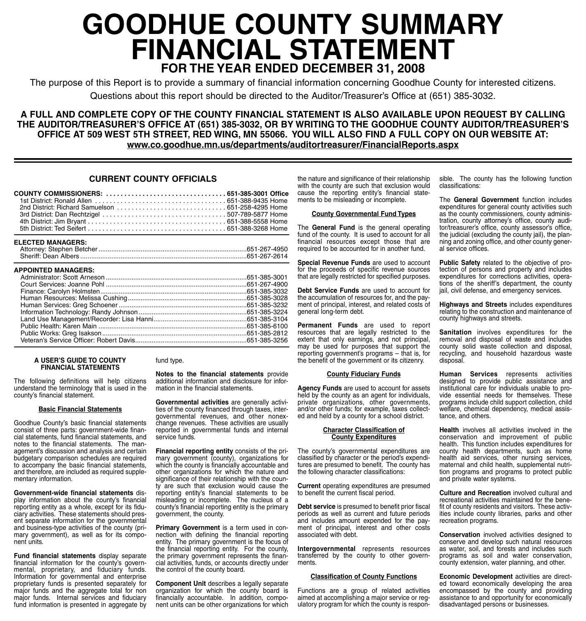# **GOODHUE COUNTY SUMMARY FINANCIAL STATEMENT FOR THE YEAR ENDED DECEMBER 31, 2008**

The purpose of this Report is to provide a summary of financial information concerning Goodhue County for interested citizens. Questions about this report should be directed to the Auditor/Treasurer's Office at (651) 385-3032.

**A FULL AND COMPLETE COPY OF THE COUNTY FINANCIAL STATEMENT IS ALSO AVAILABLE UPON REQUEST BY CALLING THE AUDITOR/TREASURER'S OFFICE AT (651) 385-3032, OR BY WRITING TO THE GOODHUE COUNTY AUDITOR/TREASURER'S OFFICE AT 509 WEST 5TH STREET, RED WING, MN 55066. YOU WILL ALSO FIND A FULL COPY ON OUR WEBSITE AT: www.co.goodhue.mn.us/departments/auditortreasurer/FinancialReports.aspx**

## **CURRENT COUNTY OFFICIALS**

#### **ELECTED MANAGERS:**

| _______________________________ |  |
|---------------------------------|--|
|                                 |  |
|                                 |  |

#### **APPOINTED MANAGERS:**

| SFFUINTED MANAGERS. |  |
|---------------------|--|
|                     |  |
|                     |  |
|                     |  |
|                     |  |
|                     |  |
|                     |  |
|                     |  |
|                     |  |
|                     |  |
|                     |  |
|                     |  |

#### **A USER'S GUIDE TO COUNTY FINANCIAL STATEMENTS**

The following definitions will help citizens understand the terminology that is used in the county's financial statement.

#### **Basic Financial Statements**

Goodhue County's basic financial statements consist of three parts: government-wide financial statements, fund financial statements, and notes to the financial statements. The management's discussion and analysis and certain budgetary comparison schedules are required to accompany the basic financial statements, and therefore, are included as required supplementary information.

**Government-wide financial statements** display information about the county's financial reporting entity as a whole, except for its fiduciary activities. These statements should present separate information for the governmental and business-type activities of the county (primary government), as well as for its component units.

**Fund financial statements** display separate financial information for the county's governmental, proprietary, and fiduciary funds. Information for governmental and enterprise proprietary funds is presented separately for major funds and the aggregate total for non major funds. Internal services and fiduciary fund information is presented in aggregate by

## fund type.

**Notes to the financial statements** provide additional information and disclosure for information in the financial statements.

**Governmental activities** are generally activities of the county financed through taxes, intergovernmental revenues, and other nonexchange revenues. These activities are usually reported in governmental funds and internal service funds.

**Financial reporting entity** consists of the primary government (county), organizations for which the county is financially accountable and other organizations for which the nature and significance of their relationship with the county are such that exclusion would cause the reporting entity's financial statements to be misleading or incomplete. The nucleus of a county's financial reporting entity is the primary government, the county.

**Primary Government** is a term used in connection with defining the financial reporting entity. The primary government is the focus of the financial reporting entity. For the county, the primary government represents the financial activities, funds, or accounts directly under the control of the county board.

**Component Unit** describes a legally separate organization for which the county board is financially accountable. In addition, component units can be other organizations for which the nature and significance of their relationship with the county are such that exclusion would cause the reporting entity's financial statements to be misleading or incomplete.

#### **County Governmental Fund Types**

The **General Fund** is the general operating fund of the county. It is used to account for all financial resources except those that are required to be accounted for in another fund.

**Special Revenue Funds** are used to account for the proceeds of specific revenue sources that are legally restricted for specified purposes.

**Debt Service Funds** are used to account for the accumulation of resources for, and the payment of principal, interest, and related costs of general long-term debt.

**Permanent Funds** are used to report resources that are legally restricted to the extent that only earnings, and not principal, may be used for purposes that support the reporting government's programs – that is, for the benefit of the government or its citizenry.

#### **County Fiduciary Funds**

**Agency Funds** are used to account for assets held by the county as an agent for individuals, private organizations, other governments, and/or other funds; for example, taxes collected and held by a county for a school district.

#### **Character Classification of County Expenditures**

The county's governmental expenditures are classified by character or the period's expenditures are presumed to benefit. The county has the following character classifications:

**Current** operating expenditures are presumed to benefit the current fiscal period.

**Debt service** is presumed to benefit prior fiscal periods as well as current and future periods and includes amount expended for the payment of principal, interest and other costs associated with debt.

**Intergovernmental** represents resources transferred by the county to other governments.

#### **Classification of County Functions**

Functions are a group of related activities aimed at accomplishing a major service or regulatory program for which the county is responsible. The county has the following function classifications:

The **General Government** function includes expenditures for general county activities such as the county commissioners, county administration, county attorney's office, county auditor/treasurer's office, county assessor's office, the judicial (excluding the county jail), the planning and zoning office, and other county general service offices.

**Public Safety** related to the objective of protection of persons and property and includes expenditures for corrections activities, operations of the sheriff's department, the county jail, civil defense, and emergency services.

**Highways and Streets** includes expenditures relating to the construction and maintenance of county highways and streets.

**Sanitation** involves expenditures for the removal and disposal of waste and includes county solid waste collection and disposal, recycling, and household hazardous waste disposal.

**Human Services** represents activities designed to provide public assistance and institutional care for individuals unable to provide essential needs for themselves. These programs include child support collection, child welfare, chemical dependency, medical assistance, and others.

**Health** involves all activities involved in the conservation and improvement of public health. This function includes expenditures for county health departments, such as home health aid services, other nursing services, maternal and child health, supplemental nutrition programs and programs to protect public and private water systems.

**Culture and Recreation** involved cultural and recreational activities maintained for the benefit of county residents and visitors. These activities include county libraries, parks and other recreation programs.

**Conservation** involved activities designed to conserve and develop such natural resources as water, soil, and forests and includes such programs as soil and water conservation, county extension, water planning, and other.

**Economic Development** activities are directed toward economically developing the area encompassed by the county and providing assistance to and opportunity for economically disadvantaged persons or businesses.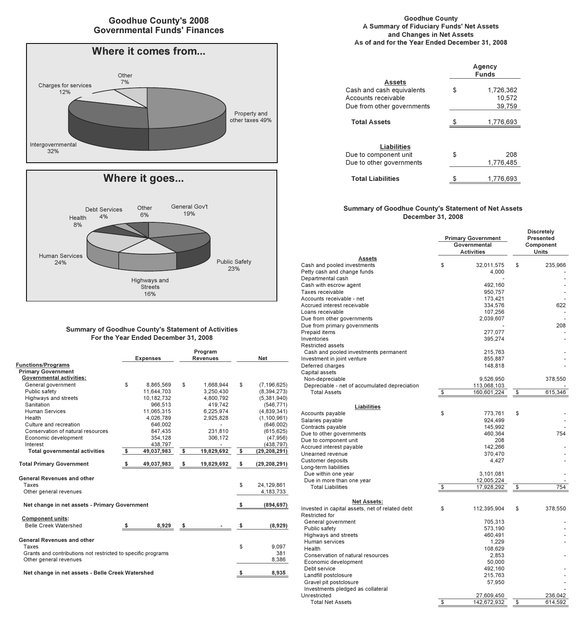## **Goodhue County's 2008 Governmental Funds' Finances**





## **Summary of Goodhue County's Statement of Activities For the Year Ended December 31, 2008**

|                                                              |     | <b>Expenses</b> |    | Program<br><b>Revenues</b> | <b>Net</b>           |
|--------------------------------------------------------------|-----|-----------------|----|----------------------------|----------------------|
| <b>Functions/Programs</b>                                    |     |                 |    |                            |                      |
| <b>Primary Government</b>                                    |     |                 |    |                            |                      |
| <b>Governmental activities:</b>                              |     |                 |    |                            |                      |
| General government                                           | \$  | 8,865,569       | \$ | 1,668,944                  | \$<br>(7, 196, 625)  |
| Public safety                                                |     | 11,644,703      |    | 3,250,430                  | (8, 394, 273)        |
| Highways and streets                                         |     | 10.182.732      |    | 4,800,792                  | (5,381,940)          |
| Sanitation                                                   |     | 966.513         |    | 419.742                    | (546, 771)           |
| <b>Human Services</b>                                        |     | 11.065.315      |    | 6.225.974                  | (4,839,341)          |
| Health                                                       |     | 4,026,789       |    | 2,925,828                  | (1,100,961)          |
| Culture and recreation                                       |     | 646,002         |    |                            | (646,002)            |
| Conservation of natural resources                            |     | 847,435         |    | 231,810                    | (615, 625)           |
| Economic development                                         |     | 354,128         |    | 306,172                    | (47, 956)            |
| Interest                                                     |     | 438,797         |    |                            | (438, 797)           |
| <b>Total governmental activities</b>                         | \$  | 49,037,983      | \$ | 19,829,692                 | \$<br>(29, 208, 291) |
| <b>Total Primary Government</b>                              | -\$ | 49,037,983      | \$ | 19,829,692                 | \$<br>(29, 208, 291) |
| <b>General Revenues and other</b>                            |     |                 |    |                            |                      |
| Taxes                                                        |     |                 |    |                            | \$<br>24,129,861     |
| Other general revenues                                       |     |                 |    |                            | 4,183,733            |
| Net change in net assets - Primary Government                |     |                 |    |                            | \$<br>(894, 697)     |
|                                                              |     |                 |    |                            |                      |
| <b>Component units:</b>                                      |     |                 |    |                            |                      |
| <b>Belle Creek Watershed</b>                                 |     | 8,929           | s  |                            | \$<br>(8,929)        |
| <b>General Revenues and other</b>                            |     |                 |    |                            |                      |
| Taxes                                                        |     |                 |    |                            | \$<br>9.097          |
| Grants and contributions not restricted to specific programs |     |                 |    |                            | 381                  |
| Other general revenues                                       |     |                 |    |                            | 8,386                |
| Net change in net assets - Belle Creek Watershed             |     |                 |    |                            | 8,935                |

#### **Goodhue County A Summary of Fiduciary Funds' Net Assets and Changes in Net Assets As of and for the Year Ended December 31, 2008**

|                                                                                                 |    | Agency<br><b>Funds</b>        |  |  |  |
|-------------------------------------------------------------------------------------------------|----|-------------------------------|--|--|--|
| <b>Assets</b><br>Cash and cash equivalents<br>Accounts receivable<br>Due from other governments | \$ | 1,726,362<br>10.572<br>39.759 |  |  |  |
| <b>Total Assets</b>                                                                             |    | 1,776,693                     |  |  |  |
| <b>Liabilities</b><br>Due to component unit<br>Due to other governments                         | \$ | 208<br>1.776.485              |  |  |  |
| <b>Total Liabilities</b>                                                                        | S  | 1.776.693                     |  |  |  |

### **Summary of Goodhue County's Statement of Net Assets December 31, 2008**

|                                                                      | <b>Primary Government</b><br>Governmental<br><b>Activities</b> | <b>Discretely</b><br>Presented<br>Component |
|----------------------------------------------------------------------|----------------------------------------------------------------|---------------------------------------------|
| Assets                                                               |                                                                | Units                                       |
| Cash and pooled investments                                          | \$<br>32,011,575                                               | \$<br>235,966                               |
| Petty cash and change funds                                          | 4,000                                                          |                                             |
| Departmental cash                                                    |                                                                |                                             |
| Cash with escrow agent                                               | 492,160                                                        |                                             |
| Taxes receivable                                                     | 950,757                                                        |                                             |
| Accounts receivable - net                                            | 173,421                                                        |                                             |
| Accrued interest receivable                                          | 334,576                                                        | 622                                         |
| Loans receivable                                                     | 107,256                                                        |                                             |
| Due from other governments                                           | 2,039,607                                                      |                                             |
| Due from primary governments                                         |                                                                | 208                                         |
| Prepaid items                                                        | 277,077                                                        |                                             |
| Inventories                                                          | 395,274                                                        |                                             |
| <b>Restricted assets</b>                                             |                                                                |                                             |
| Cash and pooled investments permanent                                | 215,763                                                        |                                             |
| Investment in joint venture                                          | 855,887                                                        |                                             |
| Deferred charges                                                     | 148,818                                                        |                                             |
| Capital assets                                                       |                                                                |                                             |
| Non-depreciable                                                      | 9,526,950                                                      | 378,550                                     |
| Depreciable - net of accumulated depreciation<br><b>Total Assets</b> | \$<br>113,068,103<br>160,601,224                               | \$<br>615,346                               |
|                                                                      |                                                                |                                             |
| Liabilities                                                          |                                                                |                                             |
| Accounts payable                                                     | \$<br>773,761                                                  | \$                                          |
| Salaries payable                                                     | 924,499                                                        |                                             |
| Contracts payable                                                    | 145,992                                                        |                                             |
| Due to other governments                                             | 460,364                                                        | 754                                         |
| Due to component unit                                                | 208                                                            |                                             |
| Accrued interest payable                                             | 142,266                                                        |                                             |
| Unearned revenue                                                     | 370,470                                                        |                                             |
| Customer deposits                                                    | 4,427                                                          |                                             |
| Long-term liabilities                                                |                                                                |                                             |
| Due within one year                                                  | 3,101,081                                                      |                                             |
| Due in more than one year                                            | 12,005,224                                                     |                                             |
| <b>Total Liabilities</b>                                             | \$<br>17,928,292                                               | \$<br>754                                   |
|                                                                      |                                                                |                                             |
| <b>Net Assets:</b>                                                   |                                                                |                                             |
| Invested in capital assets, net of related debt                      | \$<br>112,395,904                                              | \$<br>378,550                               |
| Restricted for                                                       |                                                                |                                             |
| General government                                                   | 705,313<br>573,190                                             |                                             |
| Public safety<br>Highways and streets                                | 460,491                                                        |                                             |
| Human services                                                       | 1,229                                                          |                                             |
| Health                                                               | 108,629                                                        |                                             |
| Conservation of natural resources                                    | 2,853                                                          |                                             |
| Economic development                                                 | 50,000                                                         |                                             |
| Debt service                                                         | 492,160                                                        |                                             |
| Landfill postclosure                                                 | 215,763                                                        |                                             |
| Gravel pit postclosure                                               | 57,950                                                         |                                             |
| Investments pledged as collateral                                    |                                                                |                                             |
| Unrestricted                                                         | 27,609,450                                                     | 236,042                                     |
| <b>Total Net Assets</b>                                              | \$<br>142,672,932                                              | \$<br>614,592                               |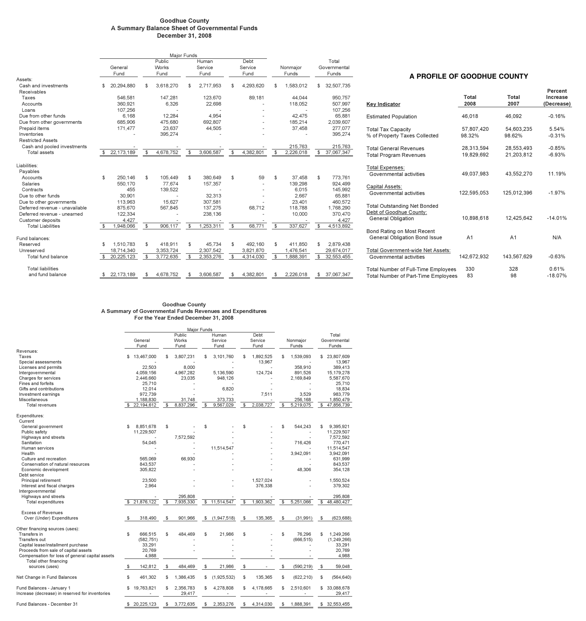#### **Goodhue County A Summary Balance Sheet of Governmental Funds December 31, 2008**

|                                |                  | <b>Maior Funds</b>             |                |                          |                         |                   |           |                                |
|--------------------------------|------------------|--------------------------------|----------------|--------------------------|-------------------------|-------------------|-----------|--------------------------------|
|                                | General<br>Fund  | Public<br><b>Works</b><br>Fund |                | Human<br>Service<br>Fund | Debt<br>Service<br>Fund | Nonmajor<br>Funds |           | Total<br>Governmental<br>Funds |
| Assets:                        |                  |                                |                |                          |                         |                   |           |                                |
| Cash and investments           | \$<br>20,294,880 | \$<br>3,618,270                | \$             | 2,717,953                | \$<br>4,293,620         | \$                | 1.583.012 | \$<br>32,507,735               |
| Receivables                    |                  |                                |                |                          |                         |                   |           |                                |
| Taxes                          | 546,581          | 147,281                        |                | 123,670                  | 89.181                  |                   | 44.044    | 950,757                        |
| Accounts                       | 360,921          | 6,326                          |                | 22,698                   |                         |                   | 118,052   | 507,997                        |
| Loans                          | 107.256          |                                |                |                          |                         |                   |           | 107,256                        |
| Due from other funds           | 6.168            | 12.284                         |                | 4,954                    |                         |                   | 42.475    | 65.881                         |
| Due from other governments     | 685,906          | 475,680                        |                | 692,807                  |                         |                   | 185.214   | 2,039,607                      |
| Prepaid items                  | 171,477          | 23.637                         |                | 44,505                   |                         |                   | 37,458    | 277,077                        |
| Inventories                    |                  | 395.274                        |                |                          |                         |                   |           | 395,274                        |
| <b>Restricted Assets</b>       |                  |                                |                |                          |                         |                   |           |                                |
| Cash and pooled investments    |                  |                                |                |                          |                         |                   | 215.763   | 215.763                        |
| Total assets                   | \$<br>22,173,189 | \$<br>4,678,752                | \$             | 3.606.587                | \$<br>4,382,801         | \$                | 2,226,018 | \$<br>37,067,347               |
|                                |                  |                                |                |                          |                         |                   |           |                                |
| Liabilities:                   |                  |                                |                |                          |                         |                   |           |                                |
| Payables                       |                  |                                |                |                          |                         |                   |           |                                |
| Accounts                       | \$<br>250.146    | \$<br>105.449                  | \$             | 380.649                  | \$<br>59                | \$                | 37,458    | \$<br>773,761                  |
| Salaries                       | 550.170          | 77.674                         |                | 157,357                  |                         |                   | 139,298   | 924,499                        |
| Contracts                      | 455              | 139,522                        |                |                          |                         |                   | 6.015     | 145,992                        |
| Due to other funds             | 30,901           |                                |                | 32.313                   |                         |                   | 2.667     | 65,881                         |
| Due to other governments       | 113,963          | 15.627                         |                | 307,581                  |                         |                   | 23,401    | 460,572                        |
| Deferred revenue - unavailable | 875,670          | 567,845                        |                | 137,275                  | 68.712                  |                   | 118,788   | 1,768,290                      |
| Deferred revenue - unearned    | 122,334          |                                |                | 238,136                  |                         |                   | 10,000    | 370,470                        |
| Customer deposits              | 4,427            |                                |                |                          |                         |                   |           | 4,427                          |
| <b>Total Liabilities</b>       | \$<br>1.948.066  | \$<br>906.117                  | $\mathfrak{s}$ | 1.253.311                | \$<br>68.771            | $\mathbb S$       | 337.627   | \$<br>4,513,892                |
| Fund balances:                 |                  |                                |                |                          |                         |                   |           |                                |
| Reserved                       | \$<br>1,510,783  | \$<br>418,911                  | \$             | 45.734                   | \$<br>492,160           | \$                | 411.850   | \$<br>2,879,438                |
| Unreserved                     | 18,714,340       | 3,353,724                      |                | 2,307,542                | 3,821,870               |                   | 1,476,541 | 29,674,017                     |
| Total fund balance             | \$<br>20,225,123 | \$<br>3,772,635                | \$             | 2,353,276                | \$<br>4,314,030         | \$                | 1,888,391 | \$<br>32,553,455               |
| <b>Total liabilities</b>       |                  |                                |                |                          |                         |                   |           |                                |
| and fund balance               | \$<br>22.173.189 | \$<br>4.678.752                | \$             | 3.606.587                | \$<br>4,382,801         | \$                | 2.226.018 | \$<br>37.067.347               |

## **A PROFILE OF GOODHUE COUNTY**

| Key Indicator                                                                               | Total<br>2008            | Total<br>2007            | Percent<br>Increase<br>(Decrease) |
|---------------------------------------------------------------------------------------------|--------------------------|--------------------------|-----------------------------------|
| <b>Estimated Population</b>                                                                 | 46,018                   | 46,092                   | $-0.16%$                          |
| <b>Total Tax Capacity</b><br>% of Property Taxes Collected                                  | 57.807.420<br>98.32%     | 54.603.235<br>98 62%     | 5.54%<br>$-0.31%$                 |
| <b>Total General Revenues</b><br><b>Total Program Revenues</b>                              | 28,313,594<br>19.829.692 | 28.553.493<br>21,203,812 | $-0.85%$<br>$-6.93%$              |
| <b>Total Expenses:</b><br>Governmental activities                                           | 49.037.983               | 43.552.270               | 11.19%                            |
| Capital Assets:<br>Governmental activities                                                  | 122.595.053              | 125.012.396              | $-1.97%$                          |
| <b>Total Outstanding Net Bonded</b><br>Debt of Goodhue County:<br><b>General Obligation</b> | 10.898.618               | 12.425.642               | $-14.01%$                         |
| Bond Rating on Most Recent<br><b>General Obligation Bond Issue</b>                          | A <sub>1</sub>           | A <sub>1</sub>           | N/A                               |
| Total Government-wide Net Assets:<br>Governmental activities                                | 142.672.932              | 143.567.629              | $-0.63%$                          |
| Total Number of Full-Time Employees<br>Total Number of Part-Time Employees                  | 330<br>83                | 328<br>98                | 0.61%<br>$-18.07%$                |

#### **Goodhue County A Summary of Governmental Funds Revenues and Expenditures For the Year Ended December 31, 2008**

|                                                                              |    |                 | Major Funds               |                          |                |                         |                   |                                |
|------------------------------------------------------------------------------|----|-----------------|---------------------------|--------------------------|----------------|-------------------------|-------------------|--------------------------------|
|                                                                              |    | General<br>Fund | Public<br>Works<br>Fund   | Human<br>Service<br>Fund |                | Debt<br>Service<br>Fund | Nonmajor<br>Funds | Total<br>Governmental<br>Funds |
| Revenues:                                                                    |    |                 |                           |                          |                |                         |                   |                                |
| Taxes                                                                        | \$ | 13,467,000      | \$<br>3,807,231           | \$<br>3,101,760          | \$             | 1,892,525               | \$<br>1,539,093   | \$<br>23,807,609               |
| Special assessments                                                          |    |                 |                           |                          |                | 13.967                  |                   | 13,967                         |
| Licenses and permits                                                         |    | 22,503          | 8,000                     |                          |                |                         | 358,910           | 389,413                        |
| Intergovernmental                                                            |    | 4.059.156       | 4,967,282                 | 5,136,590                |                | 124,724                 | 891,526           | 15,179,278                     |
| Charges for services                                                         |    | 2,446,660       | 23,035                    | 948,126                  |                |                         | 2,169,849         | 5,587,670                      |
| <b>Fines and forfeits</b>                                                    |    | 25.710          |                           |                          |                |                         |                   | 25.710                         |
| Gifts and contributions                                                      |    | 12,014          |                           | 6,820                    |                |                         |                   | 18,834                         |
| Investment earnings                                                          |    | 972,739         |                           |                          |                | 7,511                   | 3.529             | 983,779                        |
| Miscellaneous                                                                |    | 1,188,830       | 31.748                    | 373,733                  |                |                         | 256,168           | 1,850,479                      |
| <b>Total revenues</b>                                                        | \$ | 22,194,612      | \$<br>8.837.296           | \$<br>9.567.029          | $\mathfrak{s}$ | 2,038,727               | \$<br>5.219.075   | \$<br>47,856,739               |
| Expenditures:<br>Current                                                     |    |                 |                           |                          |                |                         |                   |                                |
| General government                                                           | \$ | 8.851.678       | \$                        | \$                       | \$             |                         | \$<br>544.243     | \$<br>9.395.921                |
| Public safety                                                                |    | 11,229,507      |                           |                          |                |                         |                   | 11,229,507                     |
| Highways and streets                                                         |    |                 | 7,572,592                 |                          |                |                         |                   | 7,572,592                      |
| Sanitation                                                                   |    | 54.045          |                           |                          |                |                         | 716.426           | 770,471                        |
| Human services                                                               |    |                 |                           | 11,514,547               |                |                         |                   | 11,514,547                     |
| Health                                                                       |    |                 |                           |                          |                |                         | 3,942,091         | 3,942,091                      |
| Culture and recreation                                                       |    | 565,069         | 66,930                    |                          |                |                         |                   | 631,999                        |
| Conservation of natural resources                                            |    | 843.537         |                           |                          |                |                         |                   | 843,537                        |
| Economic development                                                         |    | 305,822         |                           |                          |                |                         | 48,306            | 354,128                        |
| Debt service                                                                 |    |                 |                           |                          |                |                         |                   |                                |
| Principal retirement                                                         |    | 23,500          |                           |                          |                | 1,527,024               |                   | 1,550,524                      |
| Interest and fiscal charges                                                  |    | 2,964           |                           |                          |                | 376,338                 |                   | 379,302                        |
| Intergovernmental                                                            |    |                 |                           |                          |                |                         |                   |                                |
| Highways and streets                                                         |    |                 | 295,808                   |                          |                |                         |                   | 295.808                        |
| <b>Total expenditures</b>                                                    | \$ | 21,876,122      | \$<br>7,935,330           | \$<br>11,514,547         | \$             | 1,903,362               | \$<br>5,251,066   | \$<br>48,480,427               |
| <b>Excess of Revenues</b>                                                    |    |                 |                           |                          |                |                         |                   |                                |
| Over (Under) Expenditures                                                    | -S | 318,490         | \$<br>901,966             | \$<br>(1,947,518)        | \$             | 135,365                 | \$<br>(31, 991)   | \$<br>(623, 688)               |
| Other financing sources (uses):                                              |    |                 |                           |                          |                |                         |                   |                                |
| Transfers in                                                                 | S  | 666.515         | \$<br>484.469             | \$<br>21,986             | \$             |                         | \$<br>76.296      | \$<br>1,249,266                |
| Transfers out                                                                |    | (582, 751)      |                           |                          |                |                         | (666, 515)        | (1,249,266)                    |
| Capital lease/installment purchase                                           |    | 33,291          |                           |                          |                |                         |                   | 33,291                         |
| Proceeds from sale of capital assets                                         |    | 20,769          |                           |                          |                |                         |                   | 20,769                         |
| Compensation for loss of general capital assets                              |    | 4,988           |                           |                          |                |                         |                   | 4,988                          |
| Total other financing                                                        |    |                 |                           |                          |                |                         |                   |                                |
| sources (uses)                                                               | \$ | 142,812         | \$<br>484.469             | \$<br>21.986             | \$             |                         | \$<br>(590, 219)  | \$<br>59,048                   |
| Net Change in Fund Balances                                                  | \$ | 461.302         | \$<br>1.386.435           | \$<br>(1.925.532)        | \$             | 135.365                 | \$<br>(622, 210)  | \$<br>(564, 640)               |
| Fund Balances - January 1<br>Increase (decrease) in reserved for inventories | S  | 19.763.821      | \$<br>2.356.783<br>29,417 | \$<br>4,278,808          | \$             | 4.178.665               | \$<br>2.510.601   | \$<br>33.088.678<br>29,417     |
| Fund Balances - December 31                                                  |    | \$ 20,225,123   | \$<br>3,772,635           | \$<br>2,353,276          | \$             | 4.314.030               | \$<br>1.888.391   | \$<br>32.553.455               |